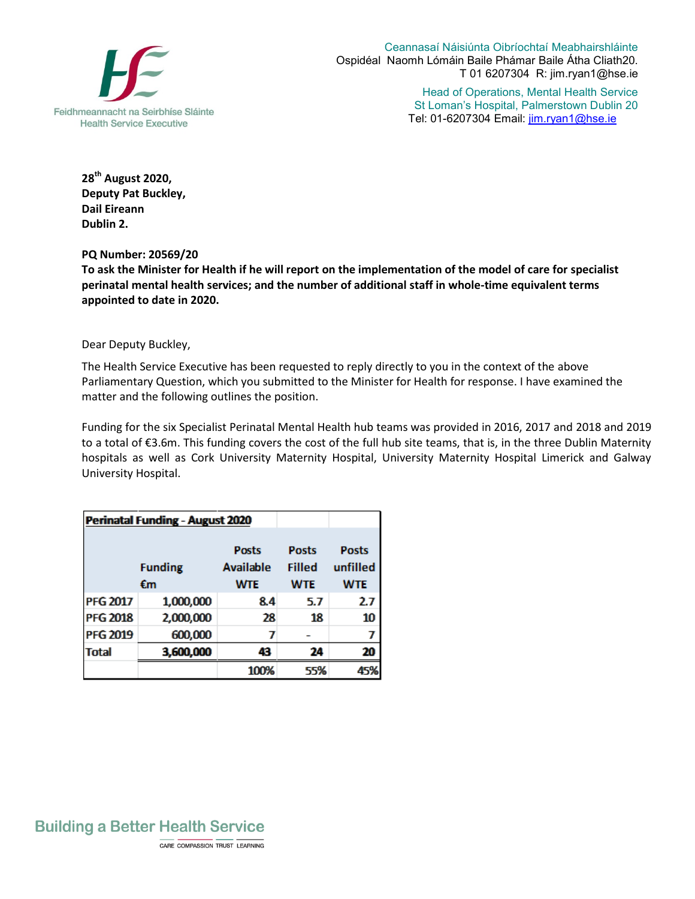

Ceannasaí Náisiúnta Oibríochtaí Meabhairshláinte Ospidéal Naomh Lómáin Baile Phámar Baile Átha Cliath20. T 01 6207304 R: jim.ryan1@hse.ie

> Head of Operations, Mental Health Service St Loman's Hospital, Palmerstown Dublin 20 Tel: 01-6207304 Email: jim.ryan1@hse.ie

**28 th August 2020, Deputy Pat Buckley, Dail Eireann Dublin 2.** 

**PQ Number: 20569/20**

**To ask the Minister for Health if he will report on the implementation of the model of care for specialist perinatal mental health services; and the number of additional staff in whole-time equivalent terms appointed to date in 2020.**

Dear Deputy Buckley,

The Health Service Executive has been requested to reply directly to you in the context of the above Parliamentary Question, which you submitted to the Minister for Health for response. I have examined the matter and the following outlines the position.

Funding for the six Specialist Perinatal Mental Health hub teams was provided in 2016, 2017 and 2018 and 2019 to a total of €3.6m. This funding covers the cost of the full hub site teams, that is, in the three Dublin Maternity hospitals as well as Cork University Maternity Hospital, University Maternity Hospital Limerick and Galway University Hospital.

| <b>Perinatal Funding - August 2020</b> |           |                  |               |              |
|----------------------------------------|-----------|------------------|---------------|--------------|
|                                        |           |                  |               |              |
|                                        |           | <b>Posts</b>     | <b>Posts</b>  | <b>Posts</b> |
| <b>Funding</b>                         |           | <b>Available</b> | <b>Filled</b> | unfilled     |
| €m                                     |           | <b>WTE</b>       | <b>WTE</b>    | <b>WTE</b>   |
| <b>PFG 2017</b>                        | 1,000,000 | 8.4              | 5.7           | 2.7          |
| <b>PFG 2018</b>                        | 2,000,000 | 28               | 18            | 10           |
| <b>PFG 2019</b>                        | 600,000   | 7                |               |              |
| <b>Total</b>                           | 3,600,000 | 43               | 24            | 20           |
|                                        |           | 100%             | 55%           | 45%          |



CARE COMPASSION TRUST LEARNING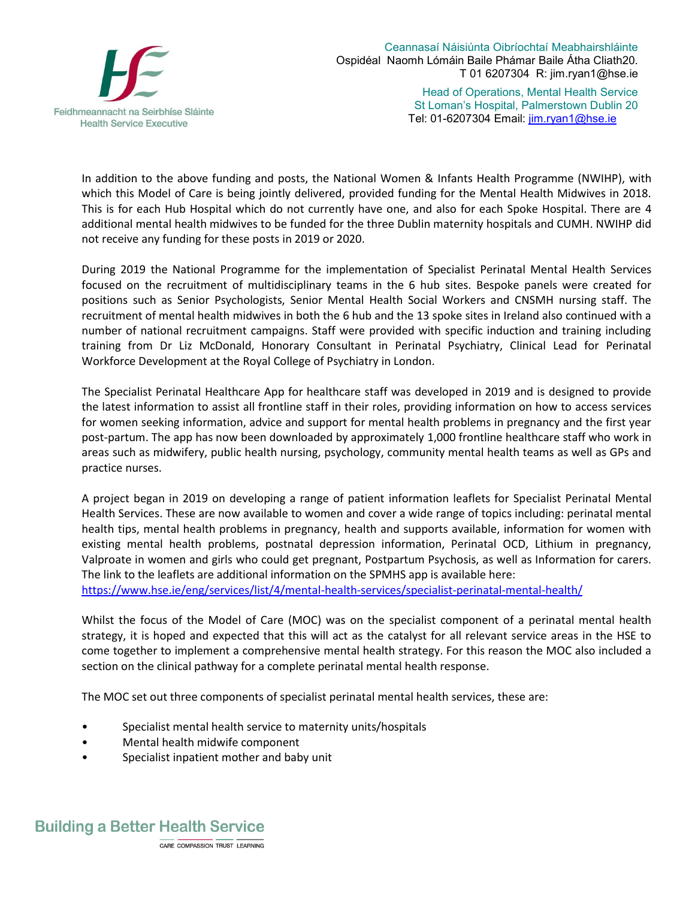

Ceannasaí Náisiúnta Oibríochtaí Meabhairshláinte Ospidéal Naomh Lómáin Baile Phámar Baile Átha Cliath20. T 01 6207304 R: jim.ryan1@hse.ie

> Head of Operations, Mental Health Service St Loman's Hospital, Palmerstown Dublin 20 Tel: 01-6207304 Email: jim.ryan1@hse.ie

In addition to the above funding and posts, the National Women & Infants Health Programme (NWIHP), with which this Model of Care is being jointly delivered, provided funding for the Mental Health Midwives in 2018. This is for each Hub Hospital which do not currently have one, and also for each Spoke Hospital. There are 4 additional mental health midwives to be funded for the three Dublin maternity hospitals and CUMH. NWIHP did not receive any funding for these posts in 2019 or 2020.

During 2019 the National Programme for the implementation of Specialist Perinatal Mental Health Services focused on the recruitment of multidisciplinary teams in the 6 hub sites. Bespoke panels were created for positions such as Senior Psychologists, Senior Mental Health Social Workers and CNSMH nursing staff. The recruitment of mental health midwives in both the 6 hub and the 13 spoke sites in Ireland also continued with a number of national recruitment campaigns. Staff were provided with specific induction and training including training from Dr Liz McDonald, Honorary Consultant in Perinatal Psychiatry, Clinical Lead for Perinatal Workforce Development at the Royal College of Psychiatry in London.

The Specialist Perinatal Healthcare App for healthcare staff was developed in 2019 and is designed to provide the latest information to assist all frontline staff in their roles, providing information on how to access services for women seeking information, advice and support for mental health problems in pregnancy and the first year post-partum. The app has now been downloaded by approximately 1,000 frontline healthcare staff who work in areas such as midwifery, public health nursing, psychology, community mental health teams as well as GPs and practice nurses.

A project began in 2019 on developing a range of patient information leaflets for Specialist Perinatal Mental Health Services. These are now available to women and cover a wide range of topics including: perinatal mental health tips, mental health problems in pregnancy, health and supports available, information for women with existing mental health problems, postnatal depression information, Perinatal OCD, Lithium in pregnancy, Valproate in women and girls who could get pregnant, Postpartum Psychosis, as well as Information for carers. The link to the leaflets are additional information on the SPMHS app is available here:

<https://www.hse.ie/eng/services/list/4/mental-health-services/specialist-perinatal-mental-health/>

Whilst the focus of the Model of Care (MOC) was on the specialist component of a perinatal mental health strategy, it is hoped and expected that this will act as the catalyst for all relevant service areas in the HSE to come together to implement a comprehensive mental health strategy. For this reason the MOC also included a section on the clinical pathway for a complete perinatal mental health response.

The MOC set out three components of specialist perinatal mental health services, these are:

- Specialist mental health service to maternity units/hospitals
- Mental health midwife component
- Specialist inpatient mother and baby unit